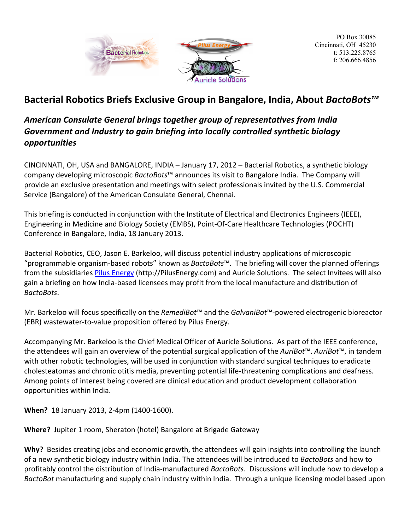

PO Box 30085 Cincinnati, OH 45230 t: 513.225.8765 f: 206.666.4856

# Bacterial Robotics Briefs Exclusive Group in Bangalore, India, About *BactoBots<sup>™</sup>*

## American Consulate General brings together group of representatives from India Government and Industry to gain briefing into locally controlled synthetic biology *opportunities*

CINCINNATI, OH, USA and BANGALORE, INDIA - January 17, 2012 - Bacterial Robotics, a synthetic biology company developing microscopic *BactoBots™* announces its visit to Bangalore India. The Company will provide an exclusive presentation and meetings with select professionals invited by the U.S. Commercial Service (Bangalore) of the American Consulate General, Chennai.

This briefing is conducted in conjunction with the Institute of Electrical and Electronics Engineers (IEEE), Engineering in Medicine and Biology Society (EMBS), Point-Of-Care Healthcare Technologies (POCHT) Conference in Bangalore, India, 18 January 2013.

Bacterial Robotics, CEO, Jason E. Barkeloo, will discuss potential industry applications of microscopic "programmable organism-based robots" known as *BactoBots*™. The briefing will cover the planned offerings from the subsidiaries Pilus Energy (http://PilusEnergy.com) and Auricle Solutions. The select Invitees will also gain a briefing on how India-based licensees may profit from the local manufacture and distribution of *BactoBots*. 

Mr. Barkeloo will focus specifically on the *RemediBot*™ and the *GalvaniBot*™-powered electrogenic bioreactor (EBR) wastewater-to-value proposition offered by Pilus Energy.

Accompanying Mr. Barkeloo is the Chief Medical Officer of Auricle Solutions. As part of the IEEE conference, the attendees will gain an overview of the potential surgical application of the *AuriBot*™. *AuriBot*™, in tandem with other robotic technologies, will be used in conjunction with standard surgical techniques to eradicate cholesteatomas and chronic otitis media, preventing potential life-threatening complications and deafness. Among points of interest being covered are clinical education and product development collaboration opportunities within India.

**When?** 18 January 2013, 2-4pm (1400-1600).

**Where?** Jupiter 1 room, Sheraton (hotel) Bangalore at Brigade Gateway

**Why?** Besides creating jobs and economic growth, the attendees will gain insights into controlling the launch of a new synthetic biology industry within India. The attendees will be introduced to *BactoBots* and how to profitably control the distribution of India-manufactured *BactoBots*. Discussions will include how to develop a *BactoBot* manufacturing and supply chain industry within India. Through a unique licensing model based upon